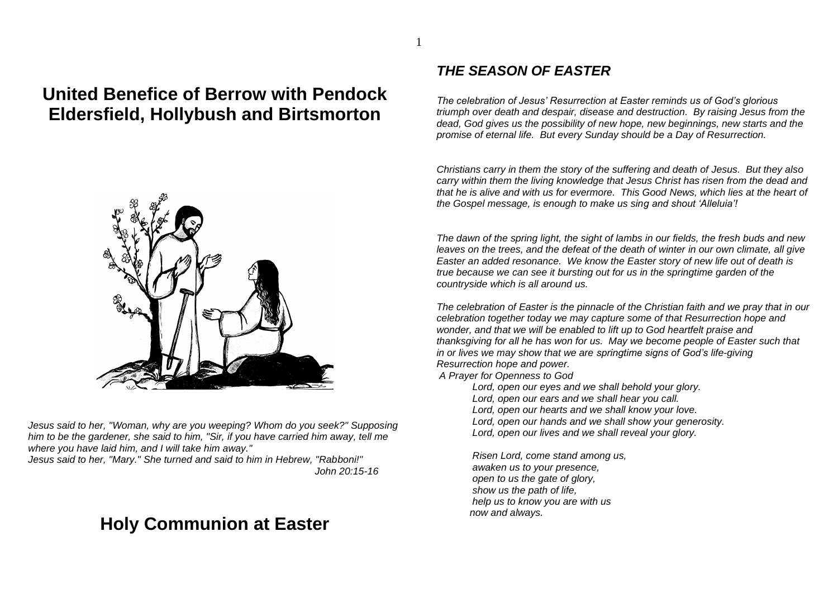# **United Benefice of Berrow with Pendock Eldersfield, Hollybush and Birtsmorton**



*Jesus said to her, "Woman, why are you weeping? Whom do you seek?" Supposing him to be the gardener, she said to him, "Sir, if you have carried him away, tell me where you have laid him, and I will take him away."* 

*Jesus said to her, "Mary." She turned and said to him in Hebrew, "Rabboni!" John 20:15-16*

# **Holy Communion at Easter**

#### *THE SEASON OF EASTER*

1

*The celebration of Jesus' Resurrection at Easter reminds us of God's glorious triumph over death and despair, disease and destruction. By raising Jesus from the dead, God gives us the possibility of new hope, new beginnings, new starts and the promise of eternal life. But every Sunday should be a Day of Resurrection.*

*Christians carry in them the story of the suffering and death of Jesus. But they also carry within them the living knowledge that Jesus Christ has risen from the dead and that he is alive and with us for evermore. This Good News, which lies at the heart of the Gospel message, is enough to make us sing and shout 'Alleluia'!*

*The dawn of the spring light, the sight of lambs in our fields, the fresh buds and new leaves on the trees, and the defeat of the death of winter in our own climate, all give Easter an added resonance. We know the Easter story of new life out of death is true because we can see it bursting out for us in the springtime garden of the countryside which is all around us.*

*The celebration of Easter is the pinnacle of the Christian faith and we pray that in our celebration together today we may capture some of that Resurrection hope and wonder, and that we will be enabled to lift up to God heartfelt praise and thanksgiving for all he has won for us. May we become people of Easter such that in or lives we may show that we are springtime signs of God's life-giving Resurrection hope and power.*

*A Prayer for Openness to God*

- *Lord, open our eyes and we shall behold your glory.*
- *Lord, open our ears and we shall hear you call.*
- *Lord, open our hearts and we shall know your love.*
- *Lord, open our hands and we shall show your generosity.*
- *Lord, open our lives and we shall reveal your glory.*

*Risen Lord, come stand among us, awaken us to your presence, open to us the gate of glory, show us the path of life, help us to know you are with us now and always.*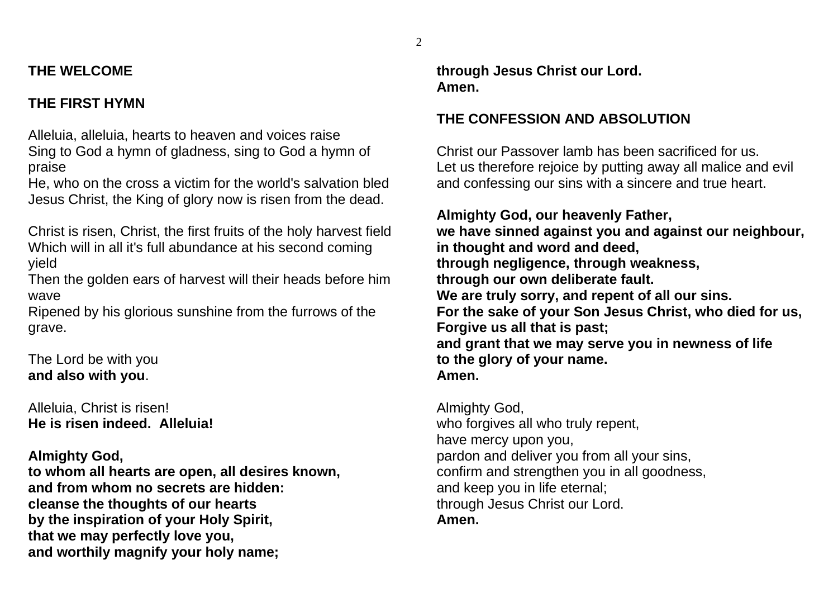# **THE WELCOME**

# **THE FIRST HYMN**

Alleluia, alleluia, hearts to heaven and voices raise Sing to God a hymn of gladness, sing to God a hymn of praise

He, who on the cross a victim for the world's salvation bled Jesus Christ, the King of glory now is risen from the dead.

Christ is risen, Christ, the first fruits of the holy harvest field Which will in all it's full abundance at his second coming yield

Then the golden ears of harvest will their heads before him wave

Ripened by his glorious sunshine from the furrows of the grave.

The Lord be with you **and also with you**.

Alleluia, Christ is risen! **He is risen indeed. Alleluia!**

# **Almighty God,**

**to whom all hearts are open, all desires known, and from whom no secrets are hidden: cleanse the thoughts of our hearts by the inspiration of your Holy Spirit, that we may perfectly love you, and worthily magnify your holy name;**

**through Jesus Christ our Lord. Amen.**

# **THE CONFESSION AND ABSOLUTION**

Christ our Passover lamb has been sacrificed for us. Let us therefore rejoice by putting away all malice and evil and confessing our sins with a sincere and true heart.

**Almighty God, our heavenly Father, we have sinned against you and against our neighbour, in thought and word and deed, through negligence, through weakness, through our own deliberate fault. We are truly sorry, and repent of all our sins. For the sake of your Son Jesus Christ, who died for us, Forgive us all that is past; and grant that we may serve you in newness of life to the glory of your name. Amen.**

Almighty God, who forgives all who truly repent, have mercy upon you, pardon and deliver you from all your sins, confirm and strengthen you in all goodness, and keep you in life eternal; through Jesus Christ our Lord. **Amen.**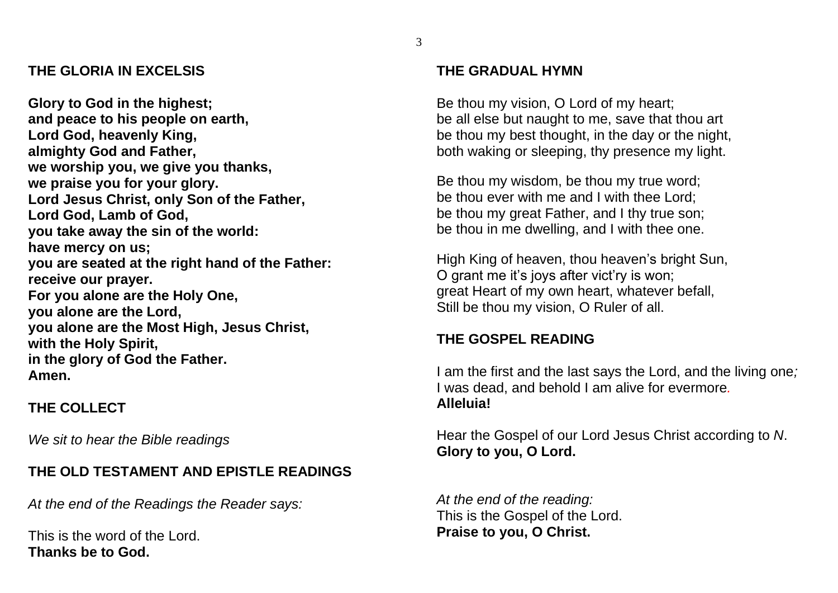#### **THE GLORIA IN EXCELSIS**

**Glory to God in the highest; and peace to his people on earth, Lord God, heavenly King, almighty God and Father, we worship you, we give you thanks, we praise you for your glory. Lord Jesus Christ, only Son of the Father, Lord God, Lamb of God, you take away the sin of the world: have mercy on us; you are seated at the right hand of the Father: receive our prayer. For you alone are the Holy One, you alone are the Lord, you alone are the Most High, Jesus Christ, with the Holy Spirit, in the glory of God the Father. Amen.**

# **THE COLLECT**

*We sit to hear the Bible readings*

# **THE OLD TESTAMENT AND EPISTLE READINGS**

*At the end of the Readings the Reader says:* 

This is the word of the Lord. **Thanks be to God.**

# **THE GRADUAL HYMN**

Be thou my vision, O Lord of my heart; be all else but naught to me, save that thou art be thou my best thought, in the day or the night, both waking or sleeping, thy presence my light.

Be thou my wisdom, be thou my true word; be thou ever with me and I with thee Lord; be thou my great Father, and I thy true son; be thou in me dwelling, and I with thee one.

High King of heaven, thou heaven's bright Sun, O grant me it's joys after vict'ry is won; great Heart of my own heart, whatever befall, Still be thou my vision, O Ruler of all.

# **THE GOSPEL READING**

I am the first and the last says the Lord, and the living one*;* I was dead, and behold I am alive for evermore*.* **Alleluia!**

Hear the Gospel of our Lord Jesus Christ according to *N*. **Glory to you, O Lord.**

*At the end of the reading:* This is the Gospel of the Lord. **Praise to you, O Christ.**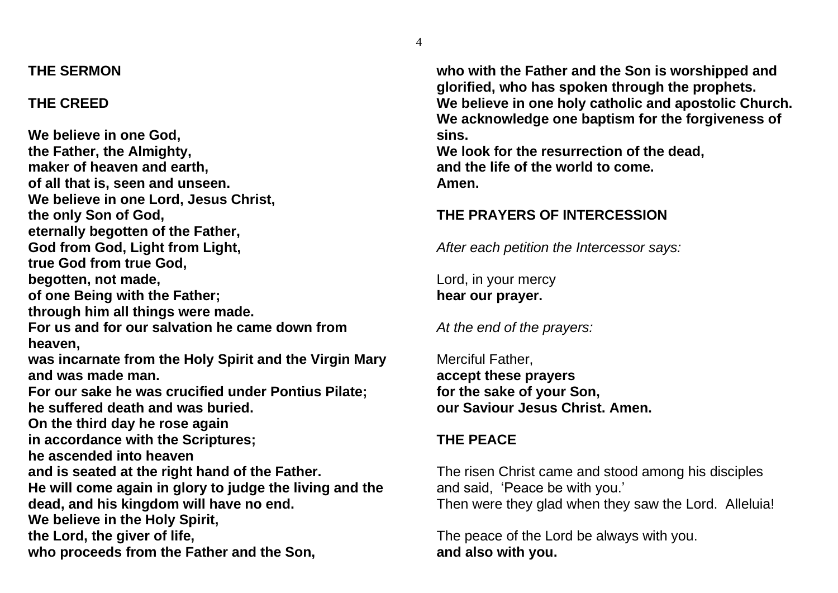#### **THE SERMON**

#### **THE CREED**

**We believe in one God, the Father, the Almighty, maker of heaven and earth, of all that is, seen and unseen. We believe in one Lord, Jesus Christ, the only Son of God, eternally begotten of the Father, God from God, Light from Light, true God from true God, begotten, not made, of one Being with the Father; through him all things were made. For us and for our salvation he came down from heaven, was incarnate from the Holy Spirit and the Virgin Mary and was made man. For our sake he was crucified under Pontius Pilate; he suffered death and was buried. On the third day he rose again in accordance with the Scriptures; he ascended into heaven and is seated at the right hand of the Father. He will come again in glory to judge the living and the dead, and his kingdom will have no end. We believe in the Holy Spirit, the Lord, the giver of life, who proceeds from the Father and the Son,**

**who with the Father and the Son is worshipped and glorified, who has spoken through the prophets. We believe in one holy catholic and apostolic Church. We acknowledge one baptism for the forgiveness of sins.**

**We look for the resurrection of the dead, and the life of the world to come. Amen.**

#### **THE PRAYERS OF INTERCESSION**

*After each petition the Intercessor says:*

Lord, in your mercy **hear our prayer.**

*At the end of the prayers:*

Merciful Father, **accept these prayers for the sake of your Son, our Saviour Jesus Christ. Amen.**

#### **THE PEACE**

The risen Christ came and stood among his disciples and said, 'Peace be with you.' Then were they glad when they saw the Lord. Alleluia!

The peace of the Lord be always with you. **and also with you.**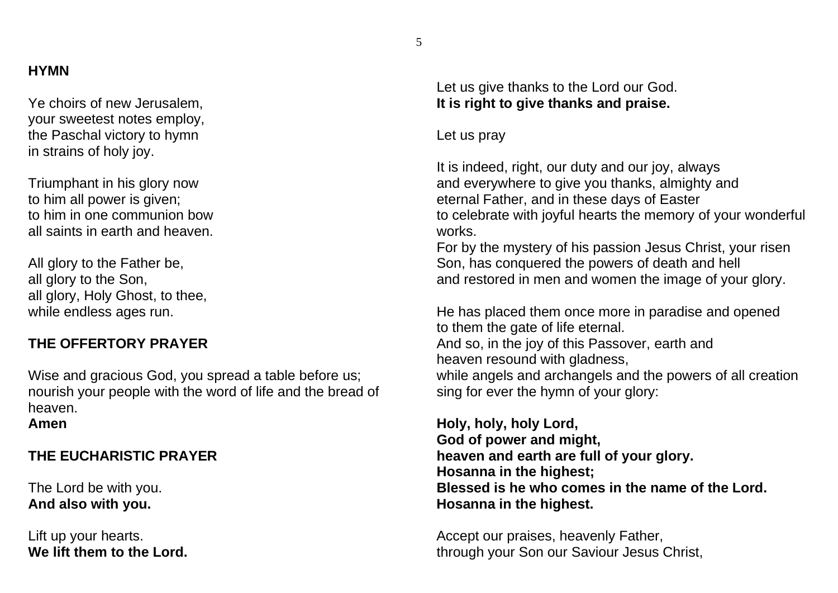#### **HYMN**

Ye choirs of new Jerusalem, your sweetest notes employ, the Paschal victory to hymn in strains of holy joy.

Triumphant in his glory now to him all power is given; to him in one communion bow all saints in earth and heaven.

All glory to the Father be, all glory to the Son, all glory, Holy Ghost, to thee, while endless ages run.

#### **THE OFFERTORY PRAYER**

Wise and gracious God, you spread a table before us; nourish your people with the word of life and the bread of heaven.

**Amen**

# **THE EUCHARISTIC PRAYER**

The Lord be with you. **And also with you.**

Lift up your hearts. **We lift them to the Lord.**  Let us give thanks to the Lord our God. **It is right to give thanks and praise.**

Let us pray

It is indeed, right, our duty and our joy, always and everywhere to give you thanks, almighty and eternal Father, and in these days of Easter to celebrate with joyful hearts the memory of your wonderful works.

For by the mystery of his passion Jesus Christ, your risen Son, has conquered the powers of death and hell and restored in men and women the image of your glory.

He has placed them once more in paradise and opened to them the gate of life eternal. And so, in the joy of this Passover, earth and heaven resound with gladness, while angels and archangels and the powers of all creation sing for ever the hymn of your glory:

**Holy, holy, holy Lord, God of power and might, heaven and earth are full of your glory. Hosanna in the highest; Blessed is he who comes in the name of the Lord. Hosanna in the highest.**

 Accept our praises, heavenly Father, through your Son our Saviour Jesus Christ,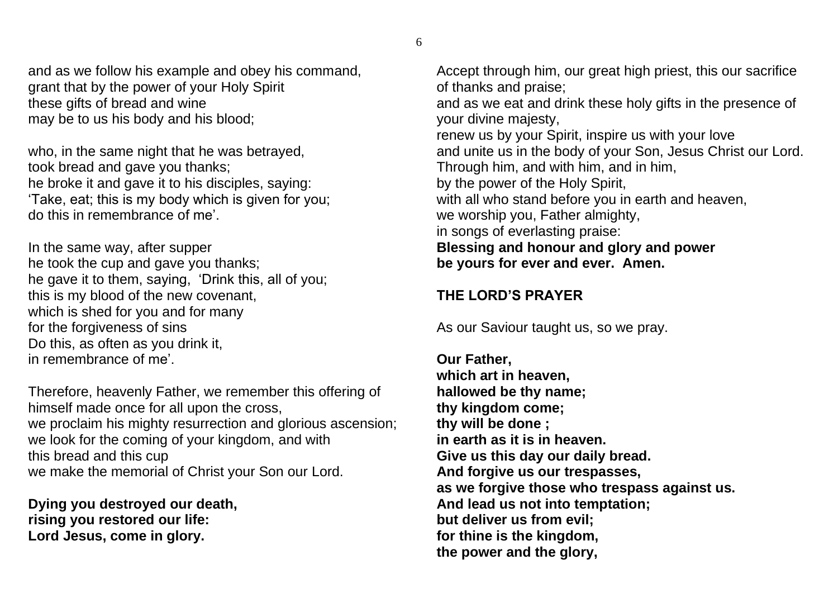6

and as we follow his example and obey his command, grant that by the power of your Holy Spirit these gifts of bread and wine may be to us his body and his blood;

who, in the same night that he was betrayed, took bread and gave you thanks; he broke it and gave it to his disciples, saying: 'Take, eat; this is my body which is given for you; do this in remembrance of me'.

In the same way, after supper he took the cup and gave you thanks; he gave it to them, saying, 'Drink this, all of you; this is my blood of the new covenant, which is shed for you and for many for the forgiveness of sins Do this, as often as you drink it, in remembrance of me'.

Therefore, heavenly Father, we remember this offering of himself made once for all upon the cross, we proclaim his mighty resurrection and glorious ascension; we look for the coming of your kingdom, and with this bread and this cup we make the memorial of Christ your Son our Lord.

**Dying you destroyed our death, rising you restored our life: Lord Jesus, come in glory.**

Accept through him, our great high priest, this our sacrifice of thanks and praise;

and as we eat and drink these holy gifts in the presence of your divine majesty,

renew us by your Spirit, inspire us with your love and unite us in the body of your Son, Jesus Christ our Lord. Through him, and with him, and in him, by the power of the Holy Spirit, with all who stand before you in earth and heaven, we worship you, Father almighty, in songs of everlasting praise: **Blessing and honour and glory and power be yours for ever and ever. Amen.**

# **THE LORD'S PRAYER**

As our Saviour taught us, so we pray.

**Our Father, which art in heaven, hallowed be thy name; thy kingdom come; thy will be done ; in earth as it is in heaven. Give us this day our daily bread. And forgive us our trespasses, as we forgive those who trespass against us. And lead us not into temptation; but deliver us from evil; for thine is the kingdom, the power and the glory,**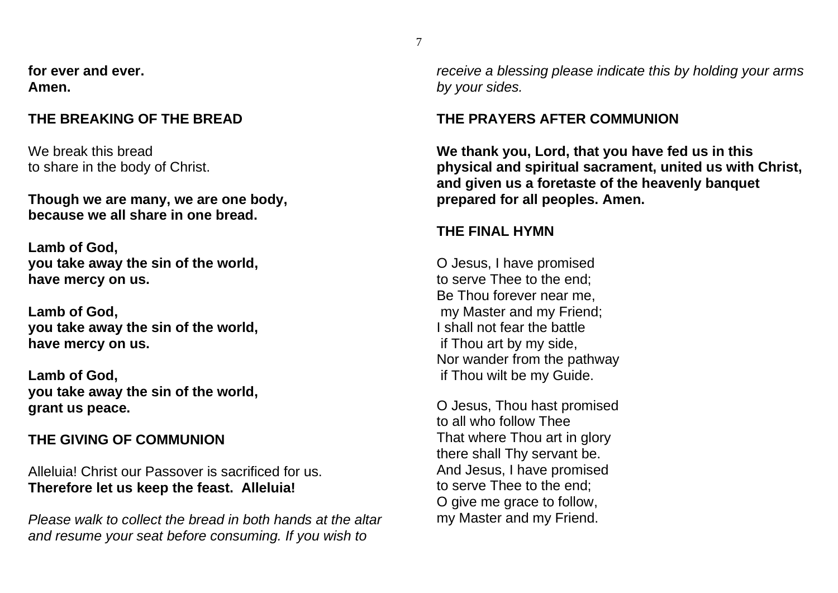**for ever and ever. Amen.**

#### **THE BREAKING OF THE BREAD**

We break this bread to share in the body of Christ.

**Though we are many, we are one body, because we all share in one bread.**

**Lamb of God, you take away the sin of the world, have mercy on us.**

**Lamb of God, you take away the sin of the world, have mercy on us.**

**Lamb of God, you take away the sin of the world, grant us peace.**

# **THE GIVING OF COMMUNION**

Alleluia! Christ our Passover is sacrificed for us. **Therefore let us keep the feast. Alleluia!**

*Please walk to collect the bread in both hands at the altar and resume your seat before consuming. If you wish to* 

*receive a blessing please indicate this by holding your arms by your sides.*

# **THE PRAYERS AFTER COMMUNION**

**We thank you, Lord, that you have fed us in this physical and spiritual sacrament, united us with Christ, and given us a foretaste of the heavenly banquet prepared for all peoples. Amen.**

#### **THE FINAL HYMN**

O Jesus, I have promised to serve Thee to the end; Be Thou forever near me, my Master and my Friend; I shall not fear the battle if Thou art by my side, Nor wander from the pathway if Thou wilt be my Guide.

O Jesus, Thou hast promised to all who follow Thee That where Thou art in glory there shall Thy servant be. And Jesus, I have promised to serve Thee to the end; O give me grace to follow, my Master and my Friend.